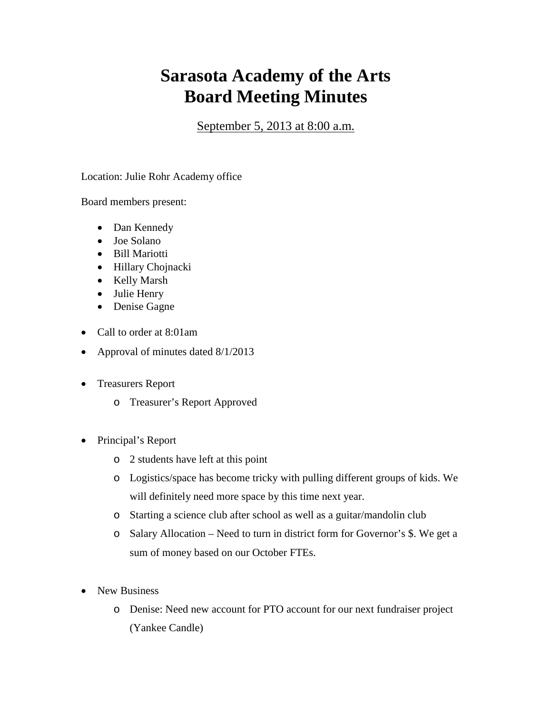## **Sarasota Academy of the Arts Board Meeting Minutes**

September 5, 2013 at 8:00 a.m.

Location: Julie Rohr Academy office

Board members present:

- Dan Kennedy
- Joe Solano
- Bill Mariotti
- Hillary Chojnacki
- Kelly Marsh
- Julie Henry
- Denise Gagne
- Call to order at 8:01am
- Approval of minutes dated 8/1/2013
- Treasurers Report
	- o Treasurer's Report Approved
- Principal's Report
	- o 2 students have left at this point
	- o Logistics/space has become tricky with pulling different groups of kids. We will definitely need more space by this time next year.
	- o Starting a science club after school as well as a guitar/mandolin club
	- o Salary Allocation Need to turn in district form for Governor's \$. We get a sum of money based on our October FTEs.
- New Business
	- o Denise: Need new account for PTO account for our next fundraiser project (Yankee Candle)